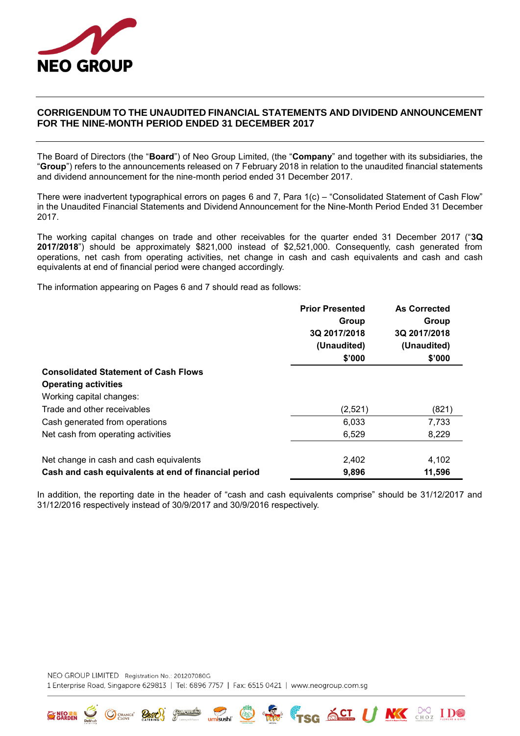

## **CORRIGENDUM TO THE UNAUDITED FINANCIAL STATEMENTS AND DIVIDEND ANNOUNCEMENT FOR THE NINE-MONTH PERIOD ENDED 31 DECEMBER 2017**

The Board of Directors (the "**Board**") of Neo Group Limited, (the "**Company**" and together with its subsidiaries, the "**Group**") refers to the announcements released on 7 February 2018 in relation to the unaudited financial statements and dividend announcement for the nine-month period ended 31 December 2017.

There were inadvertent typographical errors on pages 6 and 7, Para 1(c) – "Consolidated Statement of Cash Flow" in the Unaudited Financial Statements and Dividend Announcement for the Nine-Month Period Ended 31 December 2017.

The working capital changes on trade and other receivables for the quarter ended 31 December 2017 ("**3Q 2017/2018**") should be approximately \$821,000 instead of \$2,521,000. Consequently, cash generated from operations, net cash from operating activities, net change in cash and cash equivalents and cash and cash equivalents at end of financial period were changed accordingly.

The information appearing on Pages 6 and 7 should read as follows:

|                                                      | <b>Prior Presented</b> | <b>As Corrected</b> |
|------------------------------------------------------|------------------------|---------------------|
|                                                      | Group                  | Group               |
|                                                      | 3Q 2017/2018           | 3Q 2017/2018        |
|                                                      | (Unaudited)            | (Unaudited)         |
|                                                      | \$'000                 | \$'000              |
| <b>Consolidated Statement of Cash Flows</b>          |                        |                     |
| <b>Operating activities</b>                          |                        |                     |
| Working capital changes:                             |                        |                     |
| Trade and other receivables                          | (2,521)                | (821)               |
| Cash generated from operations                       | 6,033                  | 7,733               |
| Net cash from operating activities                   | 6,529                  | 8,229               |
| Net change in cash and cash equivalents              | 2,402                  | 4,102               |
| Cash and cash equivalents at end of financial period | 9,896                  | 11,596              |

In addition, the reporting date in the header of "cash and cash equivalents comprise" should be 31/12/2017 and 31/12/2016 respectively instead of 30/9/2017 and 30/9/2016 respectively.

Umisushi W W TSG ACT U NK CHOZ I.DO

NEO GROUP LIMITED Registration No.: 201207080G 1 Enterprise Road, Singapore 629813 | Tel: 6896 7757 | Fax: 6515 0421 | www.neogroup.com.sg